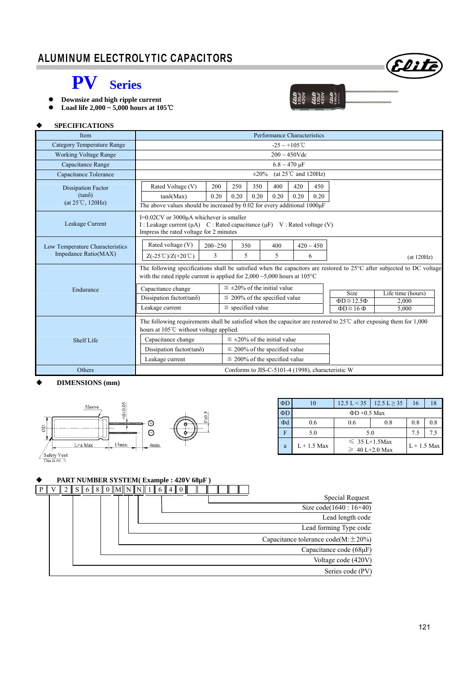## ALUMINUM ELECTROLYTIC CAPACITORS



## **PV Series**

- **Downsize and high ripple current**
- **Load life 2,000 ~ 5,000 hours at 105**℃



#### **SPECIFICATIONS**

| <b>Item</b>                                             | Performance Characteristics                                                                                                                                                                                                  |                                      |                                    |                                    |                            |                                    |                   |
|---------------------------------------------------------|------------------------------------------------------------------------------------------------------------------------------------------------------------------------------------------------------------------------------|--------------------------------------|------------------------------------|------------------------------------|----------------------------|------------------------------------|-------------------|
| <b>Category Temperature Range</b>                       | $-25 \sim +105^{\circ}$ C                                                                                                                                                                                                    |                                      |                                    |                                    |                            |                                    |                   |
| <b>Working Voltage Range</b>                            | $200 \sim 450V$ dc                                                                                                                                                                                                           |                                      |                                    |                                    |                            |                                    |                   |
| Capacitance Range                                       |                                                                                                                                                                                                                              |                                      |                                    | $6.8 \sim 470 \text{ }\mu\text{F}$ |                            |                                    |                   |
| Capacitance Tolerance                                   | $\pm 20\%$<br>(at $25^{\circ}$ C and $120$ Hz)                                                                                                                                                                               |                                      |                                    |                                    |                            |                                    |                   |
| Dissipation Factor<br>$(tan\delta)$<br>(at 25°C, 120Hz) | Rated Voltage (V)<br>$tan\delta(Max)$<br>The above values should be increased by $0.02$ for every additional $1000\mu$ F                                                                                                     | 200<br>250<br>0.20<br>0.20           | 350<br>0.20                        | 400<br>0.20                        | 420<br>450<br>0.20<br>0.20 |                                    |                   |
| Leakage Current                                         | I=0.02CV or 3000µA whichever is smaller<br>I : Leakage current ( $\mu$ A) C : Rated capacitance ( $\mu$ F) V : Rated voltage (V)<br>Impress the rated voltage for 2 minutes                                                  |                                      |                                    |                                    |                            |                                    |                   |
| Low Temperature Characteristics<br>Impedance Ratio(MAX) | Rated voltage (V)<br>$200 - 250$<br>3<br>$Z(-25^{\circ}\text{C})/Z(+20^{\circ}\text{C})$                                                                                                                                     |                                      | 350<br>5                           | 400<br>5                           | $420 \sim 450$<br>6        |                                    | (at 120Hz)        |
|                                                         | The following specifications shall be satisfied when the capacitors are restored to $25^{\circ}$ C after subjected to DC voltage<br>with the rated ripple current is applied for $2,000 \sim 5,000$ hours at $105^{\circ}$ C |                                      |                                    |                                    |                            |                                    |                   |
| Endurance                                               | Capacitance change                                                                                                                                                                                                           | $\leq \pm 20\%$ of the initial value |                                    |                                    |                            | <b>Size</b>                        | Life time (hours) |
|                                                         | Dissipation factor(tan $\delta$ )                                                                                                                                                                                            |                                      | $\leq$ 200% of the specified value |                                    |                            | $\overline{\Phi D} \leq 12.5 \Phi$ | 2,000             |
|                                                         | Leakage current                                                                                                                                                                                                              | $\le$ specified value                |                                    |                                    |                            | $\Phi D \ge 16 \Phi$               | 5.000             |
|                                                         | The following requirements shall be satisfied when the capacitor are restored to $25^{\circ}$ after exposing them for 1,000<br>hours at 105°C without voltage applied.                                                       |                                      |                                    |                                    |                            |                                    |                   |
| Shelf Life                                              | $\leq \pm 20\%$ of the initial value<br>Capacitance change                                                                                                                                                                   |                                      |                                    |                                    |                            |                                    |                   |
|                                                         | Dissipation factor(tan $\delta$ )                                                                                                                                                                                            | $\leq$ 200% of the specified value   |                                    |                                    |                            |                                    |                   |
|                                                         | Leakage current                                                                                                                                                                                                              | $\leq$ 200% of the specified value   |                                    |                                    |                            |                                    |                   |
| Others                                                  | Conforms to JIS-C-5101-4 (1998), characteristic W                                                                                                                                                                            |                                      |                                    |                                    |                            |                                    |                   |

#### **DIMENSIONS (mm)**



| ΦD | 10            | $12.5 \text{ L} < 35$ | $12.5 \text{ L} \geq 35$ | 16  | 18  |  |  |  |  |
|----|---------------|-----------------------|--------------------------|-----|-----|--|--|--|--|
| ΦD |               | $\Phi$ D +0.5 Max     |                          |     |     |  |  |  |  |
| Φd | 0.6           | 0.6                   | 0.8                      | 0.8 | 0.8 |  |  |  |  |
| F  | 5.0           | 5.0                   | 7.5                      | 7.5 |     |  |  |  |  |
| a  | $L + 1.5$ Max | $\leq 35 L+1.5$ Max   | $L + 1.5$ Max            |     |     |  |  |  |  |
|    |               | $\geq 40$ L+2.0 Max   |                          |     |     |  |  |  |  |

## **PART NUMBER SYSTEM( Example : 420V 68µF )**